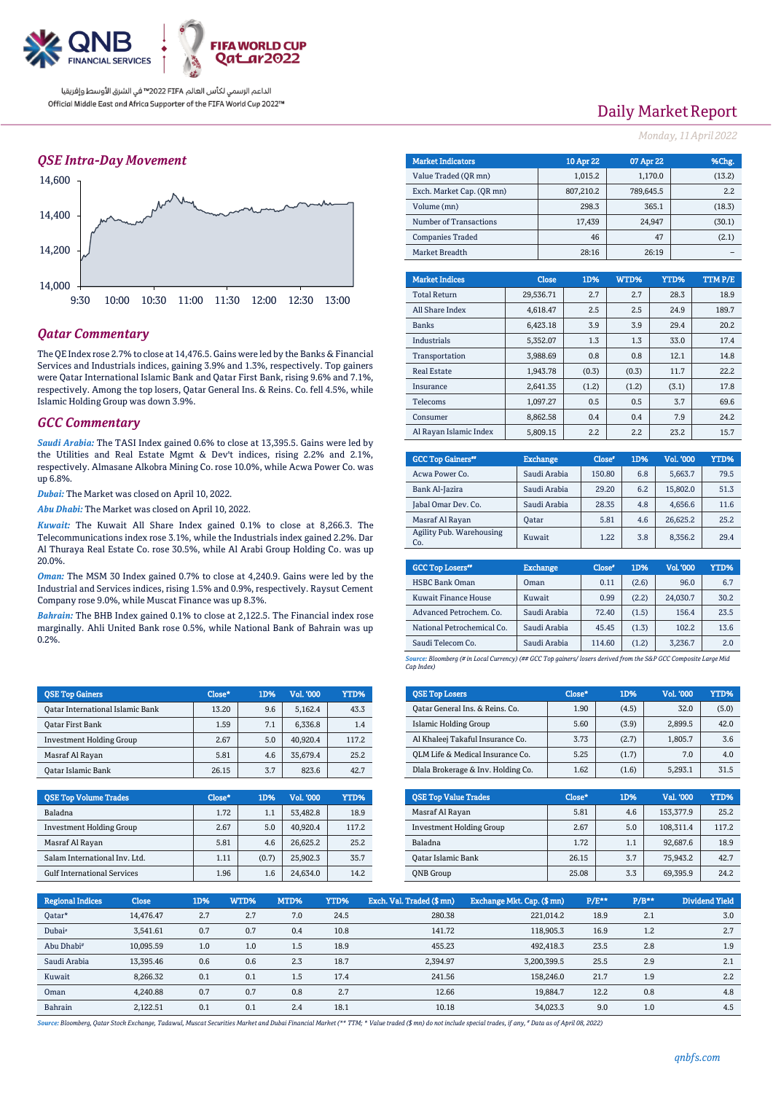

### *QSE Intra-Day Movement*



## *Qatar Commentary*

The QE Index rose 2.7% to close at 14,476.5. Gains were led by the Banks & Financial Services and Industrials indices, gaining 3.9% and 1.3%, respectively. Top gainers were Qatar International Islamic Bank and Qatar First Bank, rising 9.6% and 7.1%, respectively. Among the top losers, Qatar General Ins. & Reins. Co. fell 4.5%, while Islamic Holding Group was down 3.9%.

### *GCC Commentary*

*Saudi Arabia:* The TASI Index gained 0.6% to close at 13,395.5. Gains were led by the Utilities and Real Estate Mgmt & Dev't indices, rising 2.2% and 2.1%, respectively. Almasane Alkobra Mining Co. rose 10.0%, while Acwa Power Co. was up 6.8%.

*Dubai:* The Market was closed on April 10, 2022.

*Abu Dhabi:* The Market was closed on April 10, 2022.

*Kuwait:* The Kuwait All Share Index gained 0.1% to close at 8,266.3. The Telecommunications index rose 3.1%, while the Industrials index gained 2.2%. Dar Al Thuraya Real Estate Co. rose 30.5%, while Al Arabi Group Holding Co. was up 20.0%.

*Oman:* The MSM 30 Index gained 0.7% to close at 4,240.9. Gains were led by the Industrial and Services indices, rising 1.5% and 0.9%, respectively. Raysut Cement Company rose 9.0%, while Muscat Finance was up 8.3%.

*Bahrain:* The BHB Index gained 0.1% to close at 2,122.5. The Financial index rose marginally. Ahli United Bank rose 0.5%, while National Bank of Bahrain was up 0.2%.

| <b>OSE Top Gainers</b>           | Close* | 1D% | Vol. '000 | YTD%  |
|----------------------------------|--------|-----|-----------|-------|
| Oatar International Islamic Bank | 13.20  | 9.6 | 5,162.4   | 43.3  |
| Oatar First Bank                 | 1.59   | 7.1 | 6.336.8   | 1.4   |
| <b>Investment Holding Group</b>  | 2.67   | 5.0 | 40.920.4  | 117.2 |
| Masraf Al Rayan                  | 5.81   | 4.6 | 35.679.4  | 25.2  |
| Oatar Islamic Bank               | 26.15  | 3.7 | 823.6     | 42.7  |

| <b>OSE Top Volume Trades</b>       | Close* | <b>1D%</b> | Vol. '000 | YTD%  |
|------------------------------------|--------|------------|-----------|-------|
| Baladna                            | 1.72   | 1.1        | 53.482.8  | 18.9  |
| <b>Investment Holding Group</b>    | 2.67   | 5.0        | 40.920.4  | 117.2 |
| Masraf Al Rayan                    | 5.81   | 4.6        | 26.625.2  | 25.2  |
| Salam International Inv. Ltd.      | 1.11   | (0.7)      | 25.902.3  | 35.7  |
| <b>Gulf International Services</b> | 1.96   | 1.6        | 24.634.0  | 14.2  |

## Daily Market Report

*Monday, 11April2022*

| <b>Market Indicators</b>  |          |              | 10 Apr 22 | 07 Apr 22 |         | %Chg.  |
|---------------------------|----------|--------------|-----------|-----------|---------|--------|
| Value Traded (OR mn)      |          |              | 1,015.2   |           | 1,170.0 | (13.2) |
| Exch. Market Cap. (QR mn) |          |              | 807,210.2 | 789,645.5 |         | 2.2    |
| Volume (mn)               |          |              | 298.3     |           | 365.1   | (18.3) |
| Number of Transactions    |          |              | 17,439    |           | 24,947  | (30.1) |
| <b>Companies Traded</b>   |          |              | 46        |           | 47      | (2.1)  |
| Market Breadth            |          |              | 28:16     |           | 26:19   |        |
|                           |          |              |           |           |         |        |
| <b>Market Indices</b>     |          | <b>Close</b> | 1D%       | WTD%      | YTD%    | TTMP/E |
| <b>Total Return</b>       |          | 29,536.71    | 2.7       | 2.7       | 28.3    | 18.9   |
| All Share Index           |          | 4,618.47     | 2.5       | 2.5       | 24.9    | 189.7  |
| <b>Banks</b>              |          | 6.423.18     | 3.9       | 3.9       | 29.4    | 20.2   |
| Industrials               |          | 5.352.07     | 1.3       | 1.3       | 33.0    | 17.4   |
| Transportation            |          | 3.988.69     | 0.8       | 0.8       | 12.1    | 14.8   |
| <b>Real Estate</b>        |          | 1,943.78     | (0.3)     | (0.3)     | 11.7    | 22.2   |
| Insurance                 |          | 2.641.35     | (1.2)     | (1.2)     | (3.1)   | 17.8   |
| Telecoms                  | 1,097.27 |              | 0.5       | 0.5       | 3.7     | 69.6   |
| Consumer                  |          | 8.862.58     | 0.4       | 0.4       | 7.9     | 24.2   |
| Al Rayan Islamic Index    |          | 5,809.15     | 2.2       | 2.2       | 23.2    | 15.7   |
|                           |          |              |           |           |         |        |

| <b>GCC Top Gainers"</b>         | <b>Exchange</b> | Close* | 1D% | Vol. '000 | YTD% |
|---------------------------------|-----------------|--------|-----|-----------|------|
| Acwa Power Co.                  | Saudi Arabia    | 150.80 | 6.8 | 5.663.7   | 79.5 |
| Bank Al-Jazira                  | Saudi Arabia    | 29.20  | 6.2 | 15,802.0  | 51.3 |
| Jabal Omar Dev. Co.             | Saudi Arabia    | 28.35  | 4.8 | 4,656.6   | 11.6 |
| Masraf Al Rayan                 | <b>Oatar</b>    | 5.81   | 4.6 | 26.625.2  | 25.2 |
| Agility Pub. Warehousing<br>Co. | Kuwait          | 1.22   | 3.8 | 8,356.2   | 29.4 |

| <b>GCC Top Losers</b> "     | <b>Exchange</b> | Close <sup>®</sup> | 1D%   | Vol. '000 | YTD% |
|-----------------------------|-----------------|--------------------|-------|-----------|------|
| <b>HSBC Bank Oman</b>       | Oman            | 0.11               | (2.6) | 96.0      | 6.7  |
| <b>Kuwait Finance House</b> | Kuwait          | 0.99               | (2.2) | 24.030.7  | 30.2 |
| Advanced Petrochem. Co.     | Saudi Arabia    | 72.40              | (1.5) | 156.4     | 23.5 |
| National Petrochemical Co.  | Saudi Arabia    | 45.45              | (1.3) | 102.2     | 13.6 |
| Saudi Telecom Co.           | Saudi Arabia    | 114.60             | (1.2) | 3,236.7   | 2.0  |

*Source: Bloomberg (# in Local Currency) (## GCC Top gainers/ losers derived from the S&P GCC Composite Large Mid Cap Index)*

| <b>QSE Top Losers</b>              | Close* | 1D%   | Vol. '000 | YTD%  |
|------------------------------------|--------|-------|-----------|-------|
| Oatar General Ins. & Reins. Co.    | 1.90   | (4.5) | 32.0      | (5.0) |
| <b>Islamic Holding Group</b>       | 5.60   | (3.9) | 2.899.5   | 42.0  |
| Al Khaleej Takaful Insurance Co.   | 3.73   | (2.7) | 1.805.7   | 3.6   |
| OLM Life & Medical Insurance Co.   | 5.25   | (1.7) | 7.0       | 4.0   |
| Dlala Brokerage & Inv. Holding Co. | 1.62   | (1.6) | 5.293.1   | 31.5  |

| <b>OSE Top Value Trades</b>     | Close* | 1D% | Val. '000 | YTD%  |
|---------------------------------|--------|-----|-----------|-------|
| Masraf Al Rayan                 | 5.81   | 4.6 | 153,377.9 | 25.2  |
| <b>Investment Holding Group</b> | 2.67   | 5.0 | 108.311.4 | 117.2 |
| Baladna                         | 1.72   | 1.1 | 92,687.6  | 18.9  |
| <b>Qatar Islamic Bank</b>       | 26.15  | 3.7 | 75,943.2  | 42.7  |
| <b>ONB</b> Group                | 25.08  | 3.3 | 69,395.9  | 24.2  |

| <b>Regional Indices</b> | <b>Close</b> | 1D% | WTD% | MTD% | YTD% | Exch. Val. Traded (\$mn) | Exchange Mkt. Cap. (\$ mn) | $P/E***$ | $P/B**$ | Dividend Yield |
|-------------------------|--------------|-----|------|------|------|--------------------------|----------------------------|----------|---------|----------------|
| Oatar*                  | 14.476.47    | 2.7 | 2.7  | 7.0  | 24.5 | 280.38                   | 221,014.2                  | 18.9     | 2.1     | 3.0            |
| Dubai <sup>*</sup>      | 3.541.61     | 0.7 | 0.7  | 0.4  | 10.8 | 141.72                   | 118,905.3                  | 16.9     | 1.2     | 2.7            |
| Abu Dhabi <sup>#</sup>  | 10.095.59    | 1.0 | 1.0  | 1.5  | 18.9 | 455.23                   | 492.418.3                  | 23.5     | 2.8     | 1.9            |
| Saudi Arabia            | 13.395.46    | 0.6 | 0.6  | 2.3  | 18.7 | 2.394.97                 | 3,200,399.5                | 25.5     | 2.9     | 2.1            |
| Kuwait                  | 8.266.32     | 0.1 | 0.1  | 1.5  | 17.4 | 241.56                   | 158,246.0                  | 21.7     | 1.9     | 2.2            |
| Oman                    | 4.240.88     | 0.7 | 0.7  | 0.8  | 2.7  | 12.66                    | 19.884.7                   | 12.2     | 0.8     | 4.8            |
| Bahrain                 | 2,122.51     | 0.1 | 0.1  | 2.4  | 18.1 | 10.18                    | 34,023.3                   | 9.0      | 1.0     | 4.5            |

Source: Bloomberg, Qatar Stock Exchange, Tadawul, Muscat Securities Market and Dubai Financial Market (\*\* TTM; \* Value traded (\$ mn) do not include special trades, if any, # Data as of April 08, 2022)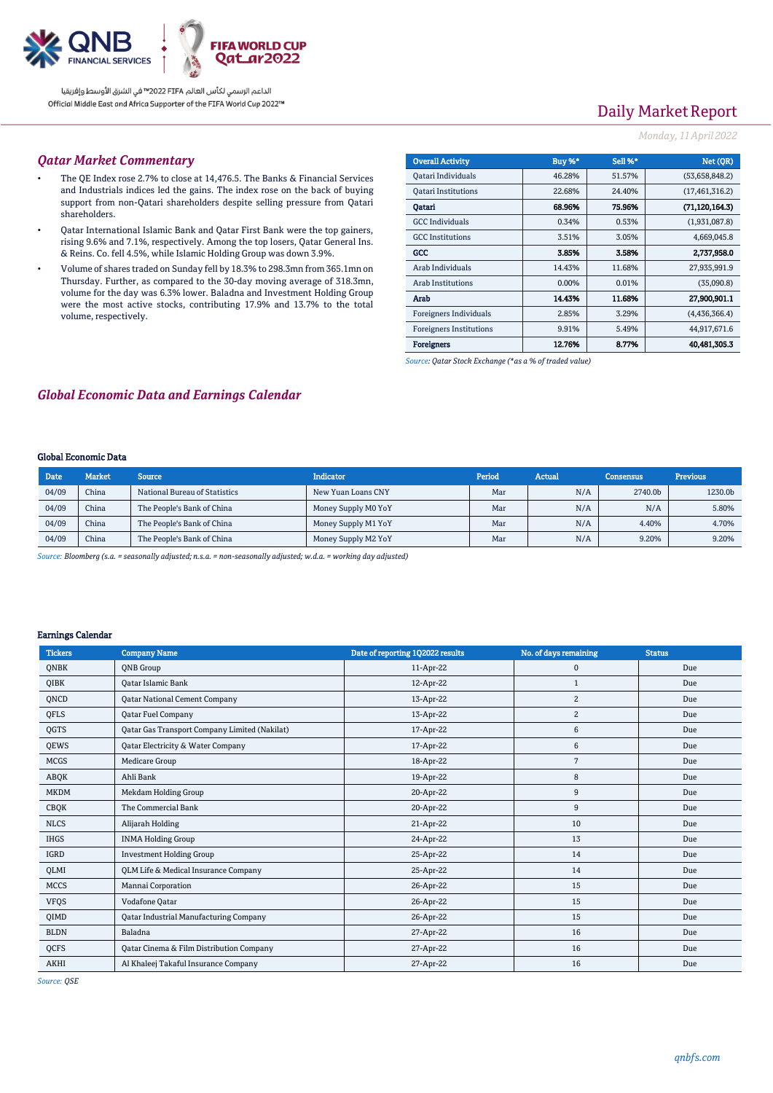

# Daily Market Report

### *Monday, 11April2022*

### *Qatar Market Commentary*

- The QE Index rose 2.7% to close at 14,476.5. The Banks & Financial Services and Industrials indices led the gains. The index rose on the back of buying support from non-Qatari shareholders despite selling pressure from Qatari shareholders.
- Qatar International Islamic Bank and Qatar First Bank were the top gainers, rising 9.6% and 7.1%, respectively. Among the top losers, Qatar General Ins. & Reins. Co. fell 4.5%, while Islamic Holding Group was down 3.9%.
- Volume of shares traded on Sunday fell by 18.3% to 298.3mn from 365.1mn on Thursday. Further, as compared to the 30-day moving average of 318.3mn, volume for the day was 6.3% lower. Baladna and Investment Holding Group were the most active stocks, contributing 17.9% and 13.7% to the total volume, respectively.

| <b>Overall Activity</b>        | <b>Buy %*</b> | <b>Sell %*</b> | Net (QR)         |
|--------------------------------|---------------|----------------|------------------|
| Qatari Individuals             | 46.28%        | 51.57%         | (53,658,848.2)   |
| <b>Oatari Institutions</b>     | 22.68%        | 24.40%         | (17, 461, 316.2) |
| Oatari                         | 68.96%        | 75.96%         | (71.120.164.3)   |
| <b>GCC</b> Individuals         | 0.34%         | 0.53%          | (1,931,087.8)    |
| <b>GCC</b> Institutions        | 3.51%         | 3.05%          | 4,669,045.8      |
| GCC                            | 3.85%         | 3.58%          | 2.737,958.0      |
| Arab Individuals               | 14.43%        | 11.68%         | 27,935,991.9     |
| <b>Arab Institutions</b>       | $0.00\%$      | 0.01%          | (35,090.8)       |
| Arab                           | 14.43%        | 11.68%         | 27.900,901.1     |
| <b>Foreigners Individuals</b>  | 2.85%         | 3.29%          | (4,436,366.4)    |
| <b>Foreigners Institutions</b> | 9.91%         | 5.49%          | 44,917,671.6     |
| <b>Foreigners</b>              | 12.76%        | 8.77%          | 40.481.305.3     |

*Source: Qatar Stock Exchange (\*as a % of traded value)*

## *Global Economic Data and Earnings Calendar*

#### Global Economic Data

| Date  | <b>Market</b> | <b>Source</b>                 | <b>Indicator</b>    | <b>Period</b> | <b>Actual</b> | <b>Consensus</b> | <b>Previous</b> |
|-------|---------------|-------------------------------|---------------------|---------------|---------------|------------------|-----------------|
| 04/09 | China         | National Bureau of Statistics | New Yuan Loans CNY  | Mar           | N/A           | 2740.0b          | 1230.0b         |
| 04/09 | China         | The People's Bank of China    | Money Supply M0 YoY | Mar           | N/A           | N/A              | 5.80%           |
| 04/09 | China         | The People's Bank of China    | Money Supply M1 YoY | Mar           | N/A           | 4.40%            | 4.70%           |
| 04/09 | China         | The People's Bank of China    | Money Supply M2 YoY | Mar           | N/A           | 9.20%            | 9.20%           |

*Source: Bloomberg (s.a. = seasonally adjusted; n.s.a. = non-seasonally adjusted; w.d.a. = working day adjusted)*

### Earnings Calendar

| <b>Tickers</b> | <b>Company Name</b>                                 | Date of reporting 1Q2022 results | No. of days remaining | <b>Status</b> |
|----------------|-----------------------------------------------------|----------------------------------|-----------------------|---------------|
| <b>ONBK</b>    | <b>ONB</b> Group                                    | 11-Apr-22                        | $\mathbf 0$           | Due           |
| QIBK           | <b>Oatar Islamic Bank</b>                           | 12-Apr-22                        | 1                     | Due           |
| ONCD           | <b>Qatar National Cement Company</b>                | 13-Apr-22                        | $\overline{c}$        | Due           |
| QFLS           | Qatar Fuel Company                                  | 13-Apr-22                        | $\overline{c}$        | Due           |
| QGTS           | Qatar Gas Transport Company Limited (Nakilat)       | 17-Apr-22                        | 6                     | Due           |
| QEWS           | Qatar Electricity & Water Company                   | 17-Apr-22                        | 6                     | Due           |
| <b>MCGS</b>    | <b>Medicare Group</b>                               | 18-Apr-22                        | 7                     | Due           |
| ABQK           | Ahli Bank                                           | 19-Apr-22                        | 8                     | Due           |
| <b>MKDM</b>    | Mekdam Holding Group                                | 20-Apr-22                        | 9                     | Due           |
| <b>CBQK</b>    | The Commercial Bank                                 | 20-Apr-22                        | 9                     | Due           |
| <b>NLCS</b>    | Alijarah Holding                                    | 21-Apr-22                        | 10                    | Due           |
| <b>IHGS</b>    | <b>INMA Holding Group</b>                           | 24-Apr-22                        | 13                    | Due           |
| IGRD           | <b>Investment Holding Group</b>                     | 25-Apr-22                        | 14                    | Due           |
| OLMI           | <b>QLM Life &amp; Medical Insurance Company</b>     | 25-Apr-22                        | 14                    | Due           |
| <b>MCCS</b>    | Mannai Corporation                                  | 26-Apr-22                        | 15                    | Due           |
| <b>VFQS</b>    | Vodafone Qatar                                      | 26-Apr-22                        | 15                    | Due           |
| QIMD           | Qatar Industrial Manufacturing Company              | 26-Apr-22                        | 15                    | Due           |
| <b>BLDN</b>    | Baladna                                             | 27-Apr-22                        | 16                    | Due           |
| <b>OCFS</b>    | <b>Qatar Cinema &amp; Film Distribution Company</b> | 27-Apr-22                        | 16                    | Due           |
| <b>AKHI</b>    | Al Khaleej Takaful Insurance Company                | 27-Apr-22                        | 16                    | Due           |

*Source: QSE*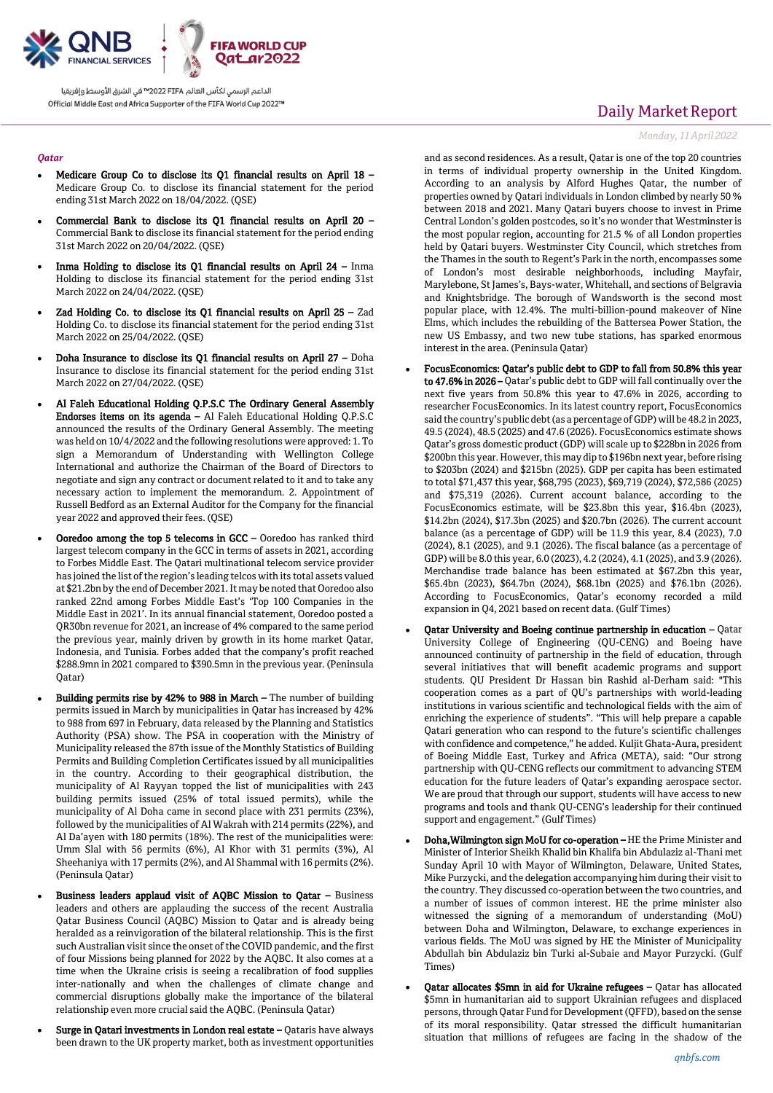

#### *Qatar*

- Medicare Group Co to disclose its Q1 financial results on April 18 Medicare Group Co. to disclose its financial statement for the period ending 31st March 2022 on 18/04/2022. (QSE)
- Commercial Bank to disclose its Q1 financial results on April 20 Commercial Bank to disclose its financial statement for the period ending 31st March 2022 on 20/04/2022. (QSE)
- Inma Holding to disclose its Q1 financial results on April 24 Inma Holding to disclose its financial statement for the period ending 31st March 2022 on 24/04/2022. (QSE)
- Zad Holding Co. to disclose its Q1 financial results on April 25 Zad Holding Co. to disclose its financial statement for the period ending 31st March 2022 on 25/04/2022. (QSE)
- Doha Insurance to disclose its Q1 financial results on April 27 Doha Insurance to disclose its financial statement for the period ending 31st March 2022 on 27/04/2022. (QSE)
- Al Faleh Educational Holding Q.P.S.C The Ordinary General Assembly Endorses items on its agenda – Al Faleh Educational Holding Q.P.S.C announced the results of the Ordinary General Assembly. The meeting was held on 10/4/2022 and the following resolutions were approved: 1. To sign a Memorandum of Understanding with Wellington College International and authorize the Chairman of the Board of Directors to negotiate and sign any contract or document related to it and to take any necessary action to implement the memorandum. 2. Appointment of Russell Bedford as an External Auditor for the Company for the financial year 2022 and approved their fees. (QSE)
- Ooredoo among the top 5 telecoms in GCC Ooredoo has ranked third largest telecom company in the GCC in terms of assets in 2021, according to Forbes Middle East. The Qatari multinational telecom service provider has joined the list of the region's leading telcos with its total assets valued at \$21.2bn by the end of December 2021. It may be noted that Ooredoo also ranked 22nd among Forbes Middle East's 'Top 100 Companies in the Middle East in 2021'. In its annual financial statement, Ooredoo posted a QR30bn revenue for 2021, an increase of 4% compared to the same period the previous year, mainly driven by growth in its home market Qatar, Indonesia, and Tunisia. Forbes added that the company's profit reached \$288.9mn in 2021 compared to \$390.5mn in the previous year. (Peninsula Qatar)
- Building permits rise by 42% to 988 in March The number of building permits issued in March by municipalities in Qatar has increased by 42% to 988 from 697 in February, data released by the Planning and Statistics Authority (PSA) show. The PSA in cooperation with the Ministry of Municipality released the 87th issue of the Monthly Statistics of Building Permits and Building Completion Certificates issued by all municipalities in the country. According to their geographical distribution, the municipality of Al Rayyan topped the list of municipalities with 243 building permits issued (25% of total issued permits), while the municipality of Al Doha came in second place with 231 permits (23%), followed by the municipalities of Al Wakrah with 214 permits (22%), and Al Da'ayen with 180 permits (18%). The rest of the municipalities were: Umm Slal with 56 permits (6%), Al Khor with 31 permits (3%), Al Sheehaniya with 17 permits (2%), and Al Shammal with 16 permits (2%). (Peninsula Qatar)
- Business leaders applaud visit of AQBC Mission to Qatar Business leaders and others are applauding the success of the recent Australia Qatar Business Council (AQBC) Mission to Qatar and is already being heralded as a reinvigoration of the bilateral relationship. This is the first such Australian visit since the onset of the COVID pandemic, and the first of four Missions being planned for 2022 by the AQBC. It also comes at a time when the Ukraine crisis is seeing a recalibration of food supplies inter-nationally and when the challenges of climate change and commercial disruptions globally make the importance of the bilateral relationship even more crucial said the AQBC. (Peninsula Qatar)
- Surge in Qatari investments in London real estate Qataris have always been drawn to the UK property market, both as investment opportunities

# Daily Market Report

#### *Monday, 11April2022*

and as second residences. As a result, Qatar is one of the top 20 countries in terms of individual property ownership in the United Kingdom. According to an analysis by Alford Hughes Qatar, the number of properties owned by Qatari individuals in London climbed by nearly 50 % between 2018 and 2021. Many Qatari buyers choose to invest in Prime Central London's golden postcodes, so it's no wonder that Westminster is the most popular region, accounting for 21.5 % of all London properties held by Qatari buyers. Westminster City Council, which stretches from the Thames in the south to Regent's Park in the north, encompasses some of London's most desirable neighborhoods, including Mayfair, Marylebone, St James's, Bays-water, Whitehall, and sections of Belgravia and Knightsbridge. The borough of Wandsworth is the second most popular place, with 12.4%. The multi-billion-pound makeover of Nine Elms, which includes the rebuilding of the Battersea Power Station, the new US Embassy, and two new tube stations, has sparked enormous interest in the area. (Peninsula Qatar)

- FocusEconomics: Qatar's public debt to GDP to fall from 50.8% this year to 47.6% in 2026 – Qatar's public debt to GDP will fall continually over the next five years from 50.8% this year to 47.6% in 2026, according to researcher FocusEconomics. In its latest country report, FocusEconomics said the country's public debt (as a percentage of GDP) will be 48.2 in 2023, 49.5 (2024), 48.5 (2025) and 47.6 (2026). FocusEconomics estimate shows Qatar's gross domestic product (GDP) will scale up to \$228bn in 2026 from \$200bn this year. However, this may dip to \$196bn next year, before rising to \$203bn (2024) and \$215bn (2025). GDP per capita has been estimated to total \$71,437 this year, \$68,795 (2023), \$69,719 (2024), \$72,586 (2025) and \$75,319 (2026). Current account balance, according to the FocusEconomics estimate, will be \$23.8bn this year, \$16.4bn (2023), \$14.2bn (2024), \$17.3bn (2025) and \$20.7bn (2026). The current account balance (as a percentage of GDP) will be 11.9 this year, 8.4 (2023), 7.0 (2024), 8.1 (2025), and 9.1 (2026). The fiscal balance (as a percentage of GDP) will be 8.0 this year, 6.0 (2023), 4.2 (2024), 4.1 (2025), and 3.9 (2026). Merchandise trade balance has been estimated at \$67.2bn this year, \$65.4bn (2023), \$64.7bn (2024), \$68.1bn (2025) and \$76.1bn (2026). According to FocusEconomics, Qatar's economy recorded a mild expansion in Q4, 2021 based on recent data. (Gulf Times)
- Qatar University and Boeing continue partnership in education Qatar University College of Engineering (QU-CENG) and Boeing have announced continuity of partnership in the field of education, through several initiatives that will benefit academic programs and support students. QU President Dr Hassan bin Rashid al-Derham said: "This cooperation comes as a part of QU's partnerships with world-leading institutions in various scientific and technological fields with the aim of enriching the experience of students". "This will help prepare a capable Qatari generation who can respond to the future's scientific challenges with confidence and competence," he added. Kuljit Ghata-Aura, president of Boeing Middle East, Turkey and Africa (META), said: "Our strong partnership with QU-CENG reflects our commitment to advancing STEM education for the future leaders of Qatar's expanding aerospace sector. We are proud that through our support, students will have access to new programs and tools and thank QU-CENG's leadership for their continued support and engagement." (Gulf Times)
- Doha,Wilmington sign MoU for co-operation HE the Prime Minister and Minister of Interior Sheikh Khalid bin Khalifa bin Abdulaziz al-Thani met Sunday April 10 with Mayor of Wilmington, Delaware, United States, Mike Purzycki, and the delegation accompanying him during their visit to the country. They discussed co-operation between the two countries, and a number of issues of common interest. HE the prime minister also witnessed the signing of a memorandum of understanding (MoU) between Doha and Wilmington, Delaware, to exchange experiences in various fields. The MoU was signed by HE the Minister of Municipality Abdullah bin Abdulaziz bin Turki al-Subaie and Mayor Purzycki. (Gulf Times)
- Qatar allocates \$5mn in aid for Ukraine refugees Qatar has allocated \$5mn in humanitarian aid to support Ukrainian refugees and displaced persons, through Qatar Fund for Development (QFFD), based on the sense of its moral responsibility. Qatar stressed the difficult humanitarian situation that millions of refugees are facing in the shadow of the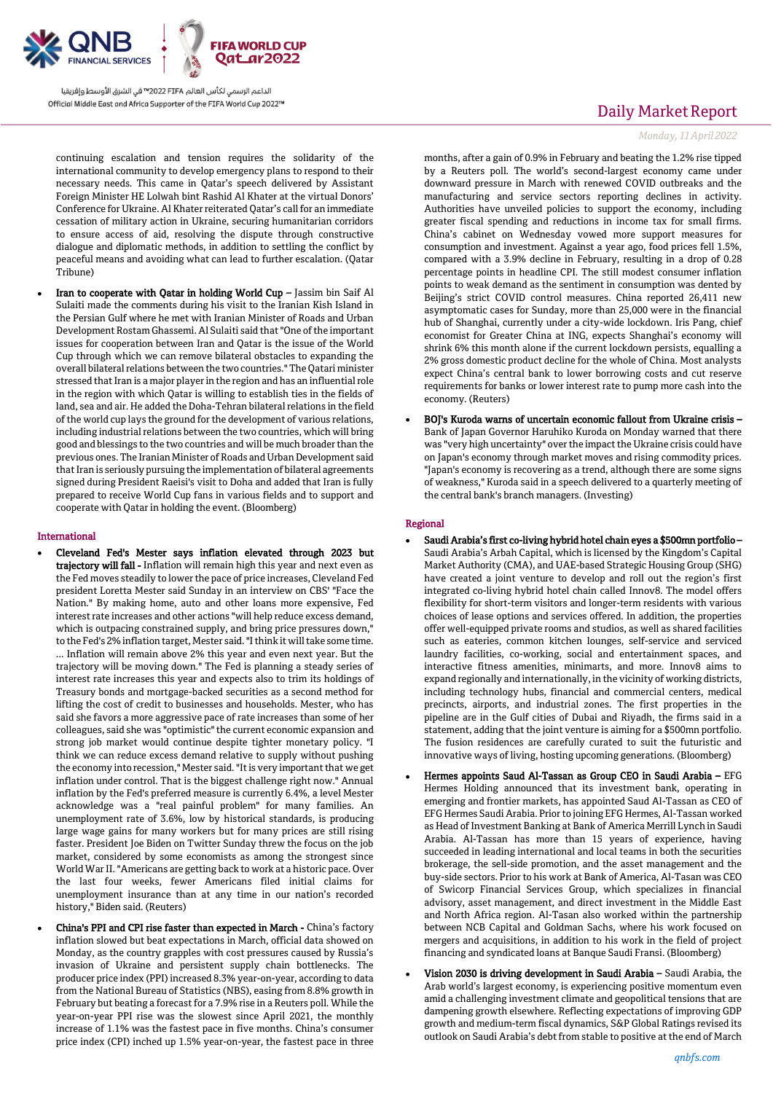

continuing escalation and tension requires the solidarity of the international community to develop emergency plans to respond to their necessary needs. This came in Qatar's speech delivered by Assistant Foreign Minister HE Lolwah bint Rashid Al Khater at the virtual Donors' Conference for Ukraine. Al Khater reiterated Qatar's call for an immediate cessation of military action in Ukraine, securing humanitarian corridors to ensure access of aid, resolving the dispute through constructive dialogue and diplomatic methods, in addition to settling the conflict by peaceful means and avoiding what can lead to further escalation. (Qatar Tribune)

 Iran to cooperate with Qatar in holding World Cup – Jassim bin Saif Al Sulaiti made the comments during his visit to the Iranian Kish Island in the Persian Gulf where he met with Iranian Minister of Roads and Urban Development Rostam Ghassemi. Al Sulaiti said that "One of the important issues for cooperation between Iran and Qatar is the issue of the World Cup through which we can remove bilateral obstacles to expanding the overall bilateral relations between the two countries." The Qatari minister stressed that Iran is a major player in the region and has an influential role in the region with which Qatar is willing to establish ties in the fields of land, sea and air. He added the Doha-Tehran bilateral relations in the field of the world cup lays the ground for the development of various relations, including industrial relations between the two countries, which will bring good and blessings to the two countries and will be much broader than the previous ones. The Iranian Minister of Roads and Urban Development said that Iran is seriously pursuing the implementation of bilateral agreements signed during President Raeisi's visit to Doha and added that Iran is fully prepared to receive World Cup fans in various fields and to support and cooperate with Qatar in holding the event. (Bloomberg)

#### International

- Cleveland Fed's Mester says inflation elevated through 2023 but trajectory will fall - Inflation will remain high this year and next even as the Fed moves steadily to lower the pace of price increases, Cleveland Fed president Loretta Mester said Sunday in an interview on CBS' "Face the Nation." By making home, auto and other loans more expensive, Fed interest rate increases and other actions "will help reduce excess demand, which is outpacing constrained supply, and bring price pressures down,' to the Fed's 2% inflation target, Mester said. "I think it will take some time. ... Inflation will remain above 2% this year and even next year. But the trajectory will be moving down." The Fed is planning a steady series of interest rate increases this year and expects also to trim its holdings of Treasury bonds and mortgage-backed securities as a second method for lifting the cost of credit to businesses and households. Mester, who has said she favors a more aggressive pace of rate increases than some of her colleagues, said she was "optimistic" the current economic expansion and strong job market would continue despite tighter monetary policy. "I think we can reduce excess demand relative to supply without pushing the economy into recession," Mester said. "It is very important that we get inflation under control. That is the biggest challenge right now." Annual inflation by the Fed's preferred measure is currently 6.4%, a level Mester acknowledge was a "real painful problem" for many families. An unemployment rate of 3.6%, low by historical standards, is producing large wage gains for many workers but for many prices are still rising faster. President Joe Biden on Twitter Sunday threw the focus on the job market, considered by some economists as among the strongest since World War II. "Americans are getting back to work at a historic pace. Over the last four weeks, fewer Americans filed initial claims for unemployment insurance than at any time in our nation's recorded history," Biden said. (Reuters)
- China's PPI and CPI rise faster than expected in March China's factory inflation slowed but beat expectations in March, official data showed on Monday, as the country grapples with cost pressures caused by Russia's invasion of Ukraine and persistent supply chain bottlenecks. The producer price index (PPI) increased 8.3% year-on-year, according to data from the National Bureau of Statistics (NBS), easing from 8.8% growth in February but beating a forecast for a 7.9% rise in a Reuters poll. While the year-on-year PPI rise was the slowest since April 2021, the monthly increase of 1.1% was the fastest pace in five months. China's consumer price index (CPI) inched up 1.5% year-on-year, the fastest pace in three

## Daily Market Report

#### *Monday, 11April2022*

months, after a gain of 0.9% in February and beating the 1.2% rise tipped by a Reuters poll. The world's second-largest economy came under downward pressure in March with renewed COVID outbreaks and the manufacturing and service sectors reporting declines in activity. Authorities have unveiled policies to support the economy, including greater fiscal spending and reductions in income tax for small firms. China's cabinet on Wednesday vowed more support measures for consumption and investment. Against a year ago, food prices fell 1.5%, compared with a 3.9% decline in February, resulting in a drop of 0.28 percentage points in headline CPI. The still modest consumer inflation points to weak demand as the sentiment in consumption was dented by Beijing's strict COVID control measures. China reported 26,411 new asymptomatic cases for Sunday, more than 25,000 were in the financial hub of Shanghai, currently under a city-wide lockdown. Iris Pang, chief economist for Greater China at ING, expects Shanghai's economy will shrink 6% this month alone if the current lockdown persists, equalling a 2% gross domestic product decline for the whole of China. Most analysts expect China's central bank to lower borrowing costs and cut reserve requirements for banks or lower interest rate to pump more cash into the economy. (Reuters)

 BOJ's Kuroda warns of uncertain economic fallout from Ukraine crisis – Bank of Japan Governor Haruhiko Kuroda on Monday warned that there was "very high uncertainty" over the impact the Ukraine crisis could have on Japan's economy through market moves and rising commodity prices. "Japan's economy is recovering as a trend, although there are some signs of weakness," Kuroda said in a speech delivered to a quarterly meeting of the central bank's branch managers. (Investing)

#### Regional

- Saudi Arabia's first co-living hybrid hotel chain eyes a \$500mn portfolio Saudi Arabia's Arbah Capital, which is licensed by the Kingdom's Capital Market Authority (CMA), and UAE-based Strategic Housing Group (SHG) have created a joint venture to develop and roll out the region's first integrated co-living hybrid hotel chain called Innov8. The model offers flexibility for short-term visitors and longer-term residents with various choices of lease options and services offered. In addition, the properties offer well-equipped private rooms and studios, as well as shared facilities such as eateries, common kitchen lounges, self-service and serviced laundry facilities, co-working, social and entertainment spaces, and interactive fitness amenities, minimarts, and more. Innov8 aims to expand regionally and internationally, in the vicinity of working districts, including technology hubs, financial and commercial centers, medical precincts, airports, and industrial zones. The first properties in the pipeline are in the Gulf cities of Dubai and Riyadh, the firms said in a statement, adding that the joint venture is aiming for a \$500mn portfolio. The fusion residences are carefully curated to suit the futuristic and innovative ways of living, hosting upcoming generations. (Bloomberg)
- Hermes appoints Saud Al-Tassan as Group CEO in Saudi Arabia EFG Hermes Holding announced that its investment bank, operating in emerging and frontier markets, has appointed Saud Al-Tassan as CEO of EFG Hermes Saudi Arabia. Prior to joining EFG Hermes, Al-Tassan worked as Head of Investment Banking at Bank of America Merrill Lynch in Saudi Arabia. Al-Tassan has more than 15 years of experience, having succeeded in leading international and local teams in both the securities brokerage, the sell-side promotion, and the asset management and the buy-side sectors. Prior to his work at Bank of America, Al-Tasan was CEO of Swicorp Financial Services Group, which specializes in financial advisory, asset management, and direct investment in the Middle East and North Africa region. Al-Tasan also worked within the partnership between NCB Capital and Goldman Sachs, where his work focused on mergers and acquisitions, in addition to his work in the field of project financing and syndicated loans at Banque Saudi Fransi. (Bloomberg)
- Vision 2030 is driving development in Saudi Arabia Saudi Arabia, the Arab world's largest economy, is experiencing positive momentum even amid a challenging investment climate and geopolitical tensions that are dampening growth elsewhere. Reflecting expectations of improving GDP growth and medium-term fiscal dynamics, S&P Global Ratings revised its outlook on Saudi Arabia's debt from stable to positive at the end of March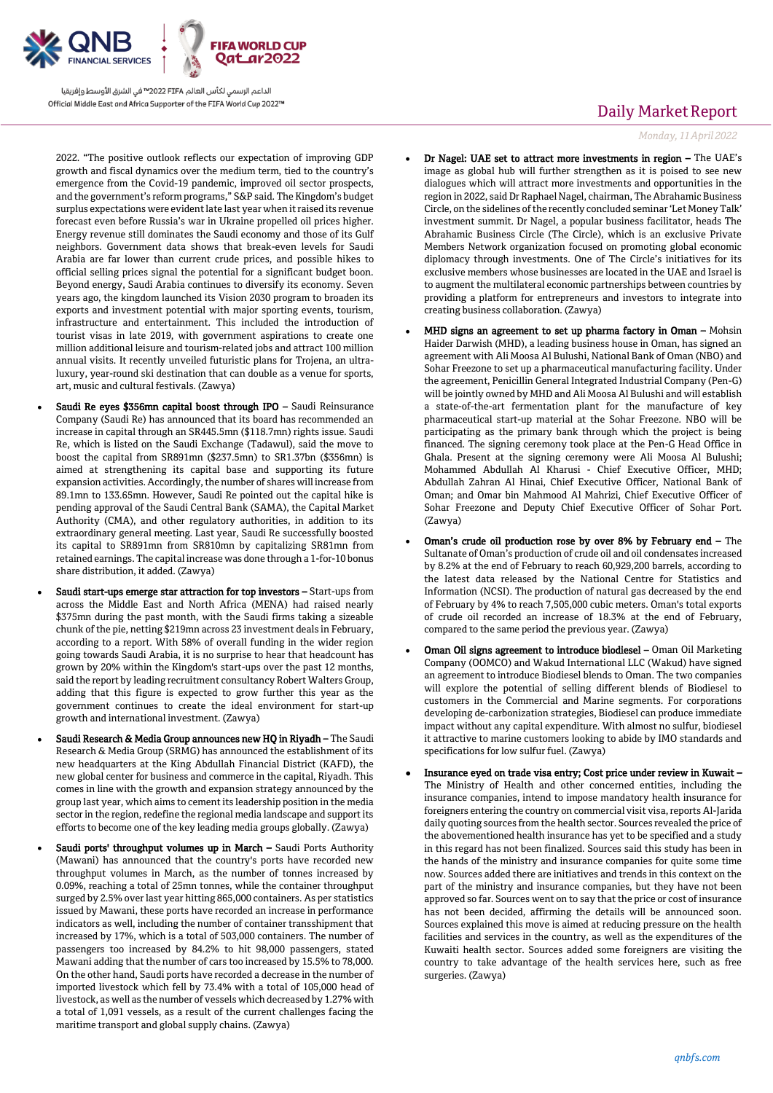

2022. "The positive outlook reflects our expectation of improving GDP growth and fiscal dynamics over the medium term, tied to the country's emergence from the Covid-19 pandemic, improved oil sector prospects, and the government's reform programs," S&P said. The Kingdom's budget surplus expectations were evident late last year when it raised its revenue forecast even before Russia's war in Ukraine propelled oil prices higher. Energy revenue still dominates the Saudi economy and those of its Gulf neighbors. Government data shows that break-even levels for Saudi Arabia are far lower than current crude prices, and possible hikes to official selling prices signal the potential for a significant budget boon. Beyond energy, Saudi Arabia continues to diversify its economy. Seven years ago, the kingdom launched its Vision 2030 program to broaden its exports and investment potential with major sporting events, tourism, infrastructure and entertainment. This included the introduction of tourist visas in late 2019, with government aspirations to create one million additional leisure and tourism-related jobs and attract 100 million annual visits. It recently unveiled futuristic plans for Trojena, an ultraluxury, year-round ski destination that can double as a venue for sports, art, music and cultural festivals. (Zawya)

- Saudi Re eyes \$356mn capital boost through IPO Saudi Reinsurance Company (Saudi Re) has announced that its board has recommended an increase in capital through an SR445.5mn (\$118.7mn) rights issue. Saudi Re, which is listed on the Saudi Exchange (Tadawul), said the move to boost the capital from SR891mn (\$237.5mn) to SR1.37bn (\$356mn) is aimed at strengthening its capital base and supporting its future expansion activities. Accordingly, the number of shares will increase from 89.1mn to 133.65mn. However, Saudi Re pointed out the capital hike is pending approval of the Saudi Central Bank (SAMA), the Capital Market Authority (CMA), and other regulatory authorities, in addition to its extraordinary general meeting. Last year, Saudi Re successfully boosted its capital to SR891mn from SR810mn by capitalizing SR81mn from retained earnings. The capital increase was done through a 1-for-10 bonus share distribution, it added. (Zawya)
- Saudi start-ups emerge star attraction for top investors Start-ups from across the Middle East and North Africa (MENA) had raised nearly \$375mn during the past month, with the Saudi firms taking a sizeable chunk of the pie, netting \$219mn across 23 investment deals in February, according to a report. With 58% of overall funding in the wider region going towards Saudi Arabia, it is no surprise to hear that headcount has grown by 20% within the Kingdom's start-ups over the past 12 months, said the report by leading recruitment consultancy Robert Walters Group, adding that this figure is expected to grow further this year as the government continues to create the ideal environment for start-up growth and international investment. (Zawya)
- Saudi Research & Media Group announces new HQ in Riyadh The Saudi Research & Media Group (SRMG) has announced the establishment of its new headquarters at the King Abdullah Financial District (KAFD), the new global center for business and commerce in the capital, Riyadh. This comes in line with the growth and expansion strategy announced by the group last year, which aims to cement its leadership position in the media sector in the region, redefine the regional media landscape and support its efforts to become one of the key leading media groups globally. (Zawya)
- Saudi ports' throughput volumes up in March Saudi Ports Authority (Mawani) has announced that the country's ports have recorded new throughput volumes in March, as the number of tonnes increased by 0.09%, reaching a total of 25mn tonnes, while the container throughput surged by 2.5% over last year hitting 865,000 containers. As per statistics issued by Mawani, these ports have recorded an increase in performance indicators as well, including the number of container transshipment that increased by 17%, which is a total of 503,000 containers. The number of passengers too increased by 84.2% to hit 98,000 passengers, stated Mawani adding that the number of cars too increased by 15.5% to 78,000. On the other hand, Saudi ports have recorded a decrease in the number of imported livestock which fell by 73.4% with a total of 105,000 head of livestock, as well as the number of vessels which decreased by 1.27% with a total of 1,091 vessels, as a result of the current challenges facing the maritime transport and global supply chains. (Zawya)

# Daily Market Report

*Monday, 11April2022*

- Dr Nagel: UAE set to attract more investments in region The UAE's image as global hub will further strengthen as it is poised to see new dialogues which will attract more investments and opportunities in the region in 2022, said Dr Raphael Nagel, chairman, The Abrahamic Business Circle, on the sidelines of the recently concluded seminar 'Let Money Talk' investment summit. Dr Nagel, a popular business facilitator, heads The Abrahamic Business Circle (The Circle), which is an exclusive Private Members Network organization focused on promoting global economic diplomacy through investments. One of The Circle's initiatives for its exclusive members whose businesses are located in the UAE and Israel is to augment the multilateral economic partnerships between countries by providing a platform for entrepreneurs and investors to integrate into creating business collaboration. (Zawya)
- MHD signs an agreement to set up pharma factory in Oman Mohsin Haider Darwish (MHD), a leading business house in Oman, has signed an agreement with Ali Moosa Al Bulushi, National Bank of Oman (NBO) and Sohar Freezone to set up a pharmaceutical manufacturing facility. Under the agreement, Penicillin General Integrated Industrial Company (Pen-G) will be jointly owned by MHD and Ali Moosa Al Bulushi and will establish a state-of-the-art fermentation plant for the manufacture of key pharmaceutical start-up material at the Sohar Freezone. NBO will be participating as the primary bank through which the project is being financed. The signing ceremony took place at the Pen-G Head Office in Ghala. Present at the signing ceremony were Ali Moosa Al Bulushi; Mohammed Abdullah Al Kharusi - Chief Executive Officer, MHD; Abdullah Zahran Al Hinai, Chief Executive Officer, National Bank of Oman; and Omar bin Mahmood Al Mahrizi, Chief Executive Officer of Sohar Freezone and Deputy Chief Executive Officer of Sohar Port. (Zawya)
- Oman's crude oil production rose by over 8% by February end The Sultanate of Oman's production of crude oil and oil condensates increased by 8.2% at the end of February to reach 60,929,200 barrels, according to the latest data released by the National Centre for Statistics and Information (NCSI). The production of natural gas decreased by the end of February by 4% to reach 7,505,000 cubic meters. Oman's total exports of crude oil recorded an increase of 18.3% at the end of February, compared to the same period the previous year. (Zawya)
- Oman Oil signs agreement to introduce biodiesel Oman Oil Marketing Company (OOMCO) and Wakud International LLC (Wakud) have signed an agreement to introduce Biodiesel blends to Oman. The two companies will explore the potential of selling different blends of Biodiesel to customers in the Commercial and Marine segments. For corporations developing de-carbonization strategies, Biodiesel can produce immediate impact without any capital expenditure. With almost no sulfur, biodiesel it attractive to marine customers looking to abide by IMO standards and specifications for low sulfur fuel. (Zawya)
- Insurance eyed on trade visa entry; Cost price under review in Kuwait The Ministry of Health and other concerned entities, including the insurance companies, intend to impose mandatory health insurance for foreigners entering the country on commercial visit visa, reports Al-Jarida daily quoting sources from the health sector. Sources revealed the price of the abovementioned health insurance has yet to be specified and a study in this regard has not been finalized. Sources said this study has been in the hands of the ministry and insurance companies for quite some time now. Sources added there are initiatives and trends in this context on the part of the ministry and insurance companies, but they have not been approved so far. Sources went on to say that the price or cost of insurance has not been decided, affirming the details will be announced soon. Sources explained this move is aimed at reducing pressure on the health facilities and services in the country, as well as the expenditures of the Kuwaiti health sector. Sources added some foreigners are visiting the country to take advantage of the health services here, such as free surgeries. (Zawya)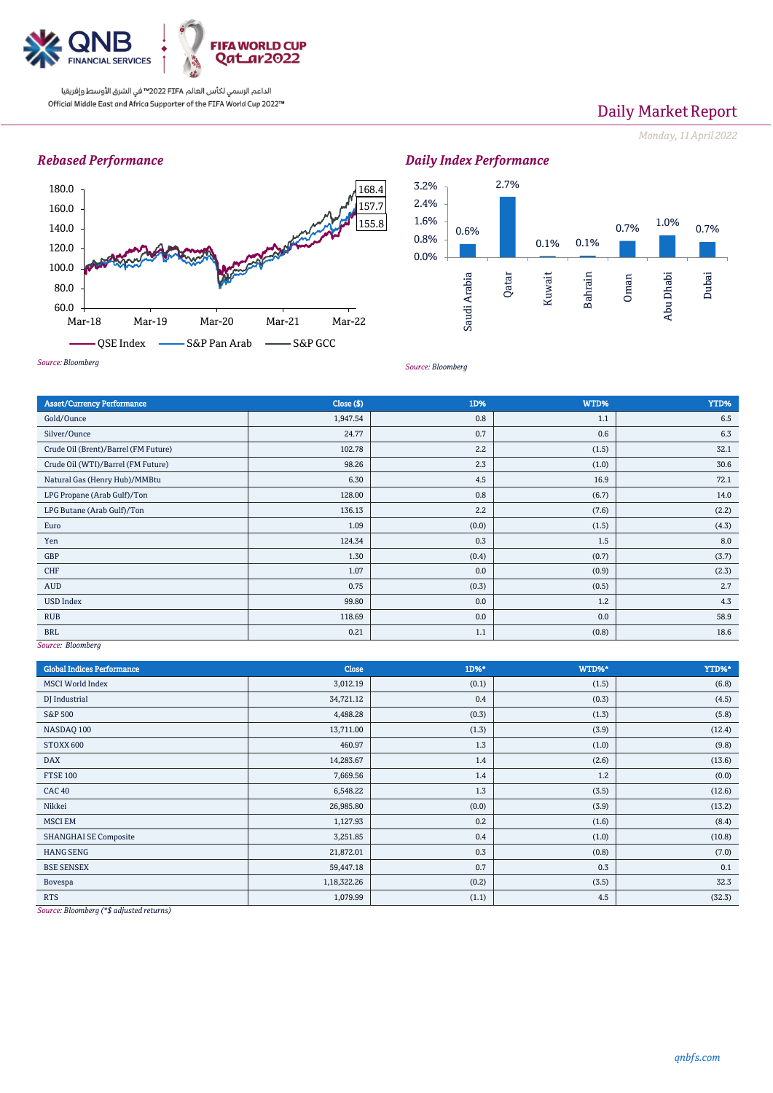

# Daily Market Report

*Monday, 11April2022*

## *Rebased Performance*



#### *Daily Index Performance* 0.6% 2.7% 0.1% 0.1% 0.7% 1.0% 0.7% 0.0% 0.8% 1.6% 2.4% 3.2% Saudi Arabia Qatar Kuwait Bahrain Oman Abu Dhabi Dubai

*Source: Bloomberg*

| <b>Asset/Currency Performance</b>                        | Close ( \$) | 1D%   | WTD%  | YTD%  |
|----------------------------------------------------------|-------------|-------|-------|-------|
| Gold/Ounce                                               | 1,947.54    | 0.8   | 1.1   | 6.5   |
| Silver/Ounce                                             | 24.77       | 0.7   | 0.6   | 6.3   |
| Crude Oil (Brent)/Barrel (FM Future)                     | 102.78      | 2.2   | (1.5) | 32.1  |
| Crude Oil (WTI)/Barrel (FM Future)                       | 98.26       | 2.3   | (1.0) | 30.6  |
| Natural Gas (Henry Hub)/MMBtu                            | 6.30        | 4.5   | 16.9  | 72.1  |
| LPG Propane (Arab Gulf)/Ton                              | 128.00      | 0.8   | (6.7) | 14.0  |
| LPG Butane (Arab Gulf)/Ton                               | 136.13      | 2.2   | (7.6) | (2.2) |
| Euro                                                     | 1.09        | (0.0) | (1.5) | (4.3) |
| Yen                                                      | 124.34      | 0.3   | 1.5   | 8.0   |
| GBP                                                      | 1.30        | (0.4) | (0.7) | (3.7) |
| CHF                                                      | 1.07        | 0.0   | (0.9) | (2.3) |
| AUD                                                      | 0.75        | (0.3) | (0.5) | 2.7   |
| <b>USD Index</b>                                         | 99.80       | 0.0   | 1.2   | 4.3   |
| <b>RUB</b>                                               | 118.69      | 0.0   | 0.0   | 58.9  |
| <b>BRL</b><br><b>Contract Contract Contract Contract</b> | 0.21        | 1.1   | (0.8) | 18.6  |

*Source: Bloomberg*

| <b>Global Indices Performance</b> | Close       | 1D%*  | WTD%* | YTD%*  |
|-----------------------------------|-------------|-------|-------|--------|
| <b>MSCI</b> World Index           | 3,012.19    | (0.1) | (1.5) | (6.8)  |
| DJ Industrial                     | 34,721.12   | 0.4   | (0.3) | (4.5)  |
| <b>S&amp;P 500</b>                | 4,488.28    | (0.3) | (1.3) | (5.8)  |
| NASDAQ 100                        | 13,711.00   | (1.3) | (3.9) | (12.4) |
| STOXX 600                         | 460.97      | 1.3   | (1.0) | (9.8)  |
| <b>DAX</b>                        | 14,283.67   | 1.4   | (2.6) | (13.6) |
| <b>FTSE 100</b>                   | 7,669.56    | 1.4   | 1.2   | (0.0)  |
| <b>CAC 40</b>                     | 6,548.22    | 1.3   | (3.5) | (12.6) |
| Nikkei                            | 26,985.80   | (0.0) | (3.9) | (13.2) |
| <b>MSCI EM</b>                    | 1,127.93    | 0.2   | (1.6) | (8.4)  |
| <b>SHANGHAI SE Composite</b>      | 3,251.85    | 0.4   | (1.0) | (10.8) |
| <b>HANG SENG</b>                  | 21,872.01   | 0.3   | (0.8) | (7.0)  |
| <b>BSE SENSEX</b>                 | 59,447.18   | 0.7   | 0.3   | 0.1    |
| Bovespa                           | 1,18,322.26 | (0.2) | (3.5) | 32.3   |
| <b>RTS</b>                        | 1,079.99    | (1.1) | 4.5   | (32.3) |

*Source: Bloomberg (\*\$ adjusted returns)*